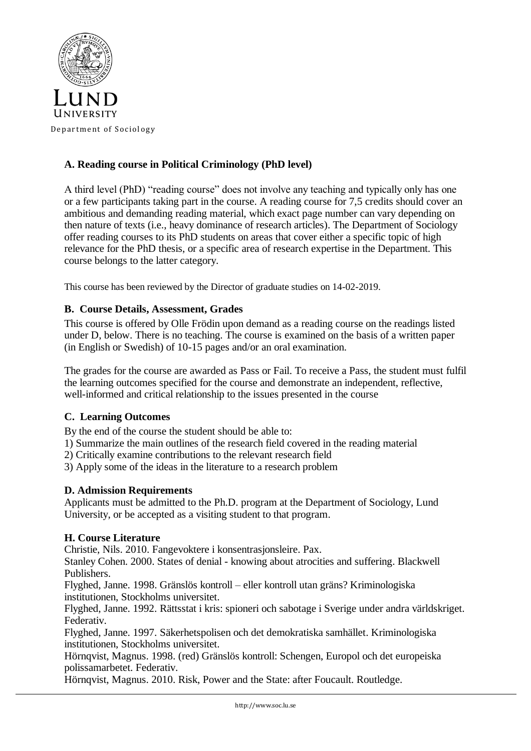

# **A. Reading course in Political Criminology (PhD level)**

A third level (PhD) "reading course" does not involve any teaching and typically only has one or a few participants taking part in the course. A reading course for 7,5 credits should cover an ambitious and demanding reading material, which exact page number can vary depending on then nature of texts (i.e., heavy dominance of research articles). The Department of Sociology offer reading courses to its PhD students on areas that cover either a specific topic of high relevance for the PhD thesis, or a specific area of research expertise in the Department. This course belongs to the latter category.

This course has been reviewed by the Director of graduate studies on 14-02-2019.

## **B. Course Details, Assessment, Grades**

This course is offered by Olle Frödin upon demand as a reading course on the readings listed under D, below. There is no teaching. The course is examined on the basis of a written paper (in English or Swedish) of 10-15 pages and/or an oral examination.

The grades for the course are awarded as Pass or Fail. To receive a Pass, the student must fulfil the learning outcomes specified for the course and demonstrate an independent, reflective, well-informed and critical relationship to the issues presented in the course

## **C. Learning Outcomes**

By the end of the course the student should be able to:

1) Summarize the main outlines of the research field covered in the reading material

2) Critically examine contributions to the relevant research field

3) Apply some of the ideas in the literature to a research problem

## **D. Admission Requirements**

Applicants must be admitted to the Ph.D. program at the Department of Sociology, Lund University, or be accepted as a visiting student to that program.

### **H. Course Literature**

Christie, Nils. 2010. Fangevoktere i konsentrasjonsleire. Pax.

Stanley Cohen. 2000. States of denial - knowing about atrocities and suffering. Blackwell Publishers.

Flyghed, Janne. 1998. Gränslös kontroll – eller kontroll utan gräns? Kriminologiska institutionen, Stockholms universitet.

Flyghed, Janne. 1992. Rättsstat i kris: spioneri och sabotage i Sverige under andra världskriget. Federativ.

Flyghed, Janne. 1997. Säkerhetspolisen och det demokratiska samhället. Kriminologiska institutionen, Stockholms universitet.

Hörnqvist, Magnus. 1998. (red) Gränslös kontroll: Schengen, Europol och det europeiska polissamarbetet. Federativ.

Hörnqvist, Magnus. 2010. Risk, Power and the State: after Foucault. Routledge.